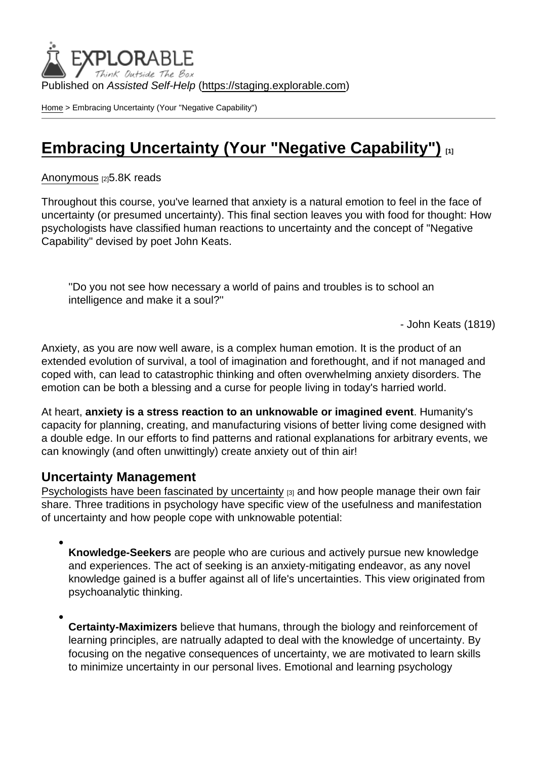Published on Assisted Self-Help [\(https://staging.explorable.com](https://staging.explorable.com))

[Home](https://staging.explorable.com/en) > Embracing Uncertainty (Your "Negative Capability")

# [Embracing Uncertainty \(Your "Negative Capability"\)](https://staging.explorable.com/en/e/embracing-uncertainty-your-negative-capability) [1]

[Anonymous](https://staging.explorable.com/en/users/grharriman) [2]5.8K reads

Throughout this course, you've learned that anxiety is a natural emotion to feel in the face of uncertainty (or presumed uncertainty). This final section leaves you with food for thought: How psychologists have classified human reactions to uncertainty and the concept of "Negative Capability" devised by poet John Keats.

''Do you not see how necessary a world of pains and troubles is to school an intelligence and make it a soul?''

- John Keats (1819)

Anxiety, as you are now well aware, is a complex human emotion. It is the product of an extended evolution of survival, a tool of imagination and forethought, and if not managed and coped with, can lead to catastrophic thinking and often overwhelming anxiety disorders. The emotion can be both a blessing and a curse for people living in today's harried world.

At heart, anxiety is a stress reaction to an unknowable or imagined event . Humanity's capacity for planning, creating, and manufacturing visions of better living come designed with a double edge. In our efforts to find patterns and rational explanations for arbitrary events, we can knowingly (and often unwittingly) create anxiety out of thin air!

## Uncertainty Management

[Psychologists have been fascinated by uncertainty](http://psychology3.anu.edu.au/people/smithson/details/Pubs/Ch18_Smithson.pdf) [3] and how people manage their own fair share. Three traditions in psychology have specific view of the usefulness and manifestation of uncertainty and how people cope with unknowable potential:

Knowledge-Seekers are people who are curious and actively pursue new knowledge and experiences. The act of seeking is an anxiety-mitigating endeavor, as any novel knowledge gained is a buffer against all of life's uncertainties. This view originated from psychoanalytic thinking.

Certainty-Maximizers believe that humans, through the biology and reinforcement of learning principles, are natrually adapted to deal with the knowledge of uncertainty. By focusing on the negative consequences of uncertainty, we are motivated to learn skills to minimize uncertainty in our personal lives. Emotional and learning psychology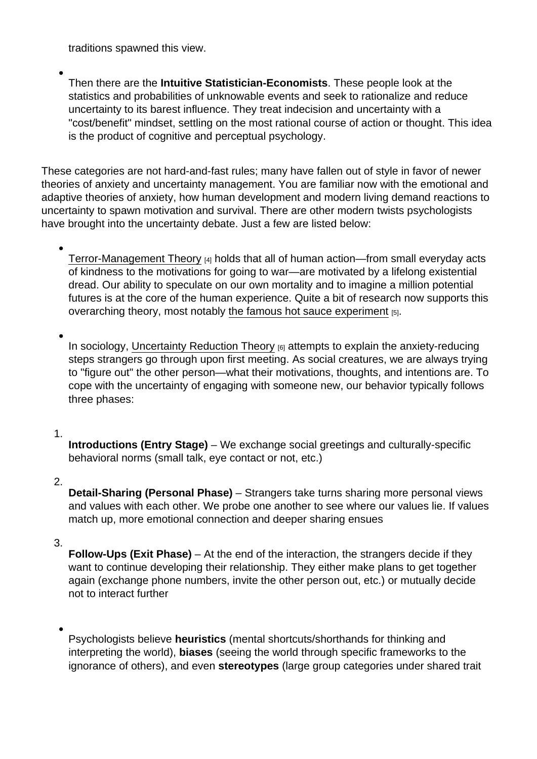traditions spawned this view.

Then there are the Intuitive Statistician-Economists . These people look at the statistics and probabilities of unknowable events and seek to rationalize and reduce uncertainty to its barest influence. They treat indecision and uncertainty with a "cost/benefit" mindset, settling on the most rational course of action or thought. This idea is the product of cognitive and perceptual psychology.

These categories are not hard-and-fast rules; many have fallen out of style in favor of newer theories of anxiety and uncertainty management. You are familiar now with the emotional and adaptive theories of anxiety, how human development and modern living demand reactions to uncertainty to spawn motivation and survival. There are other modern twists psychologists have brought into the uncertainty debate. Just a few are listed below:

[Terror-Management Theory](http://www.oxfordbibliographies.com/view/document/obo-9780199828340/obo-9780199828340-0058.xml) [4] holds that all of human action—from small everyday acts of kindness to the motivations for going to war—are motivated by a lifelong existential dread. Our ability to speculate on our own mortality and to imagine a million potential futures is at the core of the human experience. Quite a bit of research now supports this overarching theory, most notably [the famous hot sauce experiment](http://www.ncbi.nlm.nih.gov/pubmed/9523407) [5].

In sociology, [Uncertainty Reduction Theory](http://psychology.wikia.com/wiki/Uncertainty_reduction_theory) **60** attempts to explain the anxiety-reducing steps strangers go through upon first meeting. As social creatures, we are always trying to "figure out" the other person—what their motivations, thoughts, and intentions are. To cope with the uncertainty of engaging with someone new, our behavior typically follows three phases:

#### 1.

Introductions (Entry Stage) – We exchange social greetings and culturally-specific behavioral norms (small talk, eye contact or not, etc.)

### 2.

Detail-Sharing (Personal Phase) – Strangers take turns sharing more personal views and values with each other. We probe one another to see where our values lie. If values match up, more emotional connection and deeper sharing ensues

#### 3.

Follow-Ups (Exit Phase)  $-$  At the end of the interaction, the strangers decide if they want to continue developing their relationship. They either make plans to get together again (exchange phone numbers, invite the other person out, etc.) or mutually decide not to interact further

Psychologists believe heuristics (mental shortcuts/shorthands for thinking and interpreting the world), biases (seeing the world through specific frameworks to the ignorance of others), and even stereotypes (large group categories under shared trait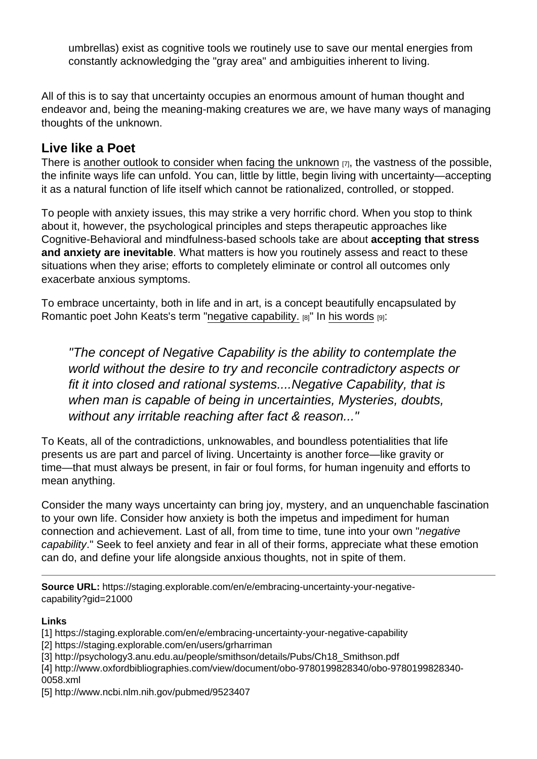umbrellas) exist as cognitive tools we routinely use to save our mental energies from constantly acknowledging the "gray area" and ambiguities inherent to living.

All of this is to say that uncertainty occupies an enormous amount of human thought and endeavor and, being the meaning-making creatures we are, we have many ways of managing thoughts of the unknown.

# Live like a Poet

There is [another outlook to consider when facing the unknown](http://judithcurry.com/2012/06/10/psychology-of-uncertainty/) [7], the vastness of the possible, the infinite ways life can unfold. You can, little by little, begin living with uncertainty—accepting it as a natural function of life itself which cannot be rationalized, controlled, or stopped.

To people with anxiety issues, this may strike a very horrific chord. When you stop to think about it, however, the psychological principles and steps therapeutic approaches like Cognitive-Behavioral and mindfulness-based schools take are about accepting that stress and anxiety are inevitable . What matters is how you routinely assess and react to these situations when they arise; efforts to completely eliminate or control all outcomes only exacerbate anxious symptoms.

To embrace uncertainty, both in life and in art, is a concept beautifully encapsulated by Romantic poet John Keats's term "[negative capability.](http://www.keatsian.co.uk/negative-capability.php) [8]" In [his words](http://www.brainpickings.org/2012/11/01/john-keats-on-negative-capability/) [9]:

"The concept of Negative Capability is the ability to contemplate the world without the desire to try and reconcile contradictory aspects or fit it into closed and rational systems....Negative Capability, that is when man is capable of being in uncertainties, Mysteries, doubts, without any irritable reaching after fact & reason..."

To Keats, all of the contradictions, unknowables, and boundless potentialities that life presents us are part and parcel of living. Uncertainty is another force—like gravity or time—that must always be present, in fair or foul forms, for human ingenuity and efforts to mean anything.

Consider the many ways uncertainty can bring joy, mystery, and an unquenchable fascination to your own life. Consider how anxiety is both the impetus and impediment for human connection and achievement. Last of all, from time to time, tune into your own "negative capability." Seek to feel anxiety and fear in all of their forms, appreciate what these emotion can do, and define your life alongside anxious thoughts, not in spite of them.

Links

- [1] https://staging.explorable.com/en/e/embracing-uncertainty-your-negative-capability
- [2] https://staging.explorable.com/en/users/grharriman
- [3] http://psychology3.anu.edu.au/people/smithson/details/Pubs/Ch18\_Smithson.pdf
- [4] http://www.oxfordbibliographies.com/view/document/obo-9780199828340/obo-9780199828340- 0058.xml
- [5] http://www.ncbi.nlm.nih.gov/pubmed/9523407

Source URL: https://staging.explorable.com/en/e/embracing-uncertainty-your-negativecapability?gid=21000